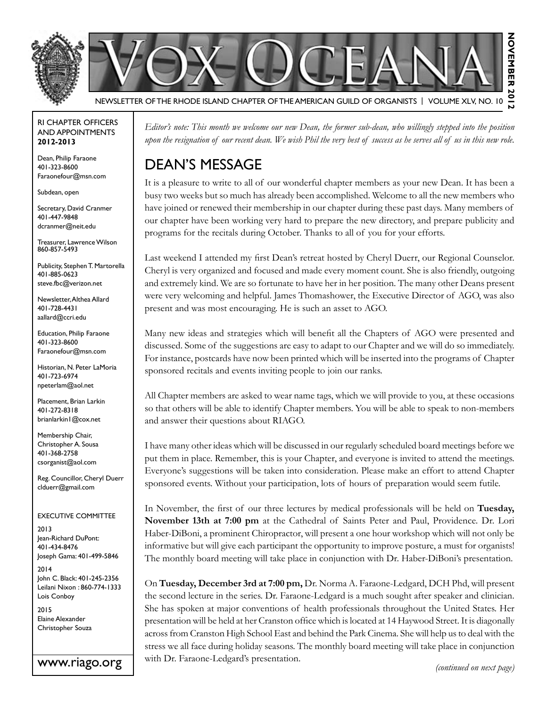



#### Newsletter of the Rhode Island Chapter of the American Guild of OrganistS | Volume XLV, No. 10

#### RI Chapter Officers and Appointments **2012-2013**

Dean, Philip Faraone 401-323-8600 Faraonefour@msn.com

Subdean, open

Secretary, David Cranmer 401-447-9848 dcranmer@neit.edu

Treasurer, Lawrence Wilson 860-857-5493

Publicity, Stephen T. Martorella 401-885-0623 steve.fbc@verizon.net

Newsletter, Althea Allard 401-728-4431 aallard@ccri.edu

Education, Philip Faraone 401-323-8600 Faraonefour@msn.com

Historian, N. Peter LaMoria 401-723-6974 npeterlam@aol.net

Placement, Brian Larkin 401-272-8318 brianlarkin1@cox.net

Membership Chair, Christopher A. Sousa 401-368-2758 csorganist@aol.com

Reg. Councillor, Cheryl Duerr clduerr@gmail.com

Executive Committee

2013 Jean-Richard DuPont: 401-434-8476 Joseph Gama: 401-499-5846

2014 John C. Black: 401-245-2356 Leilani Nixon : 860-774-1333 Lois Conboy

2015 Elaine Alexander Christopher Souza

www.riago.org

*Editor's note: This month we welcome our new Dean, the former sub-dean, who willingly stepped into the position upon the resignation of our recent dean. We wish Phil the very best of success as he serves all of us in this new role.*

## Dean's Message

It is a pleasure to write to all of our wonderful chapter members as your new Dean. It has been a busy two weeks but so much has already been accomplished. Welcome to all the new members who have joined or renewed their membership in our chapter during these past days. Many members of our chapter have been working very hard to prepare the new directory, and prepare publicity and programs for the recitals during October. Thanks to all of you for your efforts.

Last weekend I attended my first Dean's retreat hosted by Cheryl Duerr, our Regional Counselor. Cheryl is very organized and focused and made every moment count. She is also friendly, outgoing and extremely kind. We are so fortunate to have her in her position. The many other Deans present were very welcoming and helpful. James Thomashower, the Executive Director of AGO, was also present and was most encouraging. He is such an asset to AGO.

Many new ideas and strategies which will benefit all the Chapters of AGO were presented and discussed. Some of the suggestions are easy to adapt to our Chapter and we will do so immediately. For instance, postcards have now been printed which will be inserted into the programs of Chapter sponsored recitals and events inviting people to join our ranks.

All Chapter members are asked to wear name tags, which we will provide to you, at these occasions so that others will be able to identify Chapter members. You will be able to speak to non-members and answer their questions about RIAGO.

I have many other ideas which will be discussed in our regularly scheduled board meetings before we put them in place. Remember, this is your Chapter, and everyone is invited to attend the meetings. Everyone's suggestions will be taken into consideration. Please make an effort to attend Chapter sponsored events. Without your participation, lots of hours of preparation would seem futile.

In November, the first of our three lectures by medical professionals will be held on **Tuesday, November 13th at 7:00 pm** at the Cathedral of Saints Peter and Paul, Providence. Dr. Lori Haber-DiBoni, a prominent Chiropractor, will present a one hour workshop which will not only be informative but will give each participant the opportunity to improve posture, a must for organists! The monthly board meeting will take place in conjunction with Dr. Haber-DiBoni's presentation.

On **Tuesday, December 3rd at 7:00 pm,** Dr. Norma A. Faraone-Ledgard, DCH Phd, will present the second lecture in the series. Dr. Faraone-Ledgard is a much sought after speaker and clinician. She has spoken at major conventions of health professionals throughout the United States. Her presentation will be held at her Cranston office which is located at 14 Haywood Street. It is diagonally across from Cranston High School East and behind the Park Cinema. She will help us to deal with the stress we all face during holiday seasons. The monthly board meeting will take place in conjunction with Dr. Faraone-Ledgard's presentation. *(continued on next page)*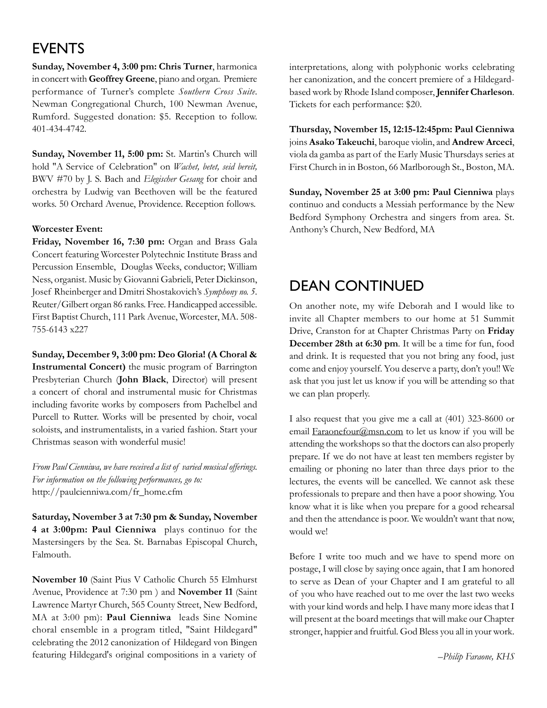## **EVENTS**

**Sunday, November 4, 3:00 pm: Chris Turner**, harmonica in concert with **Geoffrey Greene**, piano and organ. Premiere performance of Turner's complete *Southern Cross Suite*. Newman Congregational Church, 100 Newman Avenue, Rumford. Suggested donation: \$5. Reception to follow. 401-434-4742.

**Sunday, November 11, 5:00 pm:** St. Martin's Church will hold "A Service of Celebration" on *Wachet, betet, seid bereit,*  BWV #70 by J. S. Bach and *Elegischer Gesang* for choir and orchestra by Ludwig van Beethoven will be the featured works. 50 Orchard Avenue, Providence. Reception follows.

#### **Worcester Event:**

**Friday, November 16, 7:30 pm:** Organ and Brass Gala Concert featuring Worcester Polytechnic Institute Brass and Percussion Ensemble, Douglas Weeks, conductor; William Ness, organist. Music by Giovanni Gabrieli, Peter Dickinson, Josef Rheinberger and Dmitri Shostakovich's *Symphony no. 5*. Reuter/Gilbert organ 86 ranks. Free. Handicapped accessible. First Baptist Church, 111 Park Avenue, Worcester, MA. 508- 755-6143 x227

**Sunday, December 9, 3:00 pm: Deo Gloria! (A Choral & Instrumental Concert)** the music program of Barrington Presbyterian Church (**John Black**, Director) will present a concert of choral and instrumental music for Christmas including favorite works by composers from Pachelbel and Purcell to Rutter. Works will be presented by choir, vocal soloists, and instrumentalists, in a varied fashion. Start your Christmas season with wonderful music!

*From Paul Cienniwa, we have received a list of varied musical offerings. For information on the following performances, go to:* http://paulcienniwa.com/fr\_home.cfm

**Saturday, November 3 at 7:30 pm & Sunday, November 4 at 3:00pm: Paul Cienniwa** plays continuo for the Mastersingers by the Sea. St. Barnabas Episcopal Church, Falmouth.

**November 10** (Saint Pius V Catholic Church 55 Elmhurst Avenue, Providence at 7:30 pm ) and **November 11** (Saint Lawrence Martyr Church, 565 County Street, New Bedford, MA at 3:00 pm): **Paul Cienniwa** leads Sine Nomine choral ensemble in a program titled, "Saint Hildegard" celebrating the 2012 canonization of Hildegard von Bingen featuring Hildegard's original compositions in a variety of

interpretations, along with polyphonic works celebrating her canonization, and the concert premiere of a Hildegardbased work by Rhode Island composer, **Jennifer Charleson**. Tickets for each performance: \$20.

**Thursday, November 15, 12:15-12:45pm: Paul Cienniwa** joins **Asako Takeuchi**, baroque violin, and **Andrew Arceci**, viola da gamba as part of the Early Music Thursdays series at First Church in in Boston, 66 Marlborough St., Boston, MA.

**Sunday, November 25 at 3:00 pm: Paul Cienniwa** plays continuo and conducts a Messiah performance by the New Bedford Symphony Orchestra and singers from area. St. Anthony's Church, New Bedford, MA

### Dean continued

On another note, my wife Deborah and I would like to invite all Chapter members to our home at 51 Summit Drive, Cranston for at Chapter Christmas Party on **Friday December 28th at 6:30 pm**. It will be a time for fun, food and drink. It is requested that you not bring any food, just come and enjoy yourself. You deserve a party, don't you!! We ask that you just let us know if you will be attending so that we can plan properly.

I also request that you give me a call at (401) 323-8600 or email Faraonefour@msn.com to let us know if you will be attending the workshops so that the doctors can also properly prepare. If we do not have at least ten members register by emailing or phoning no later than three days prior to the lectures, the events will be cancelled. We cannot ask these professionals to prepare and then have a poor showing. You know what it is like when you prepare for a good rehearsal and then the attendance is poor. We wouldn't want that now, would we!

Before I write too much and we have to spend more on postage, I will close by saying once again, that I am honored to serve as Dean of your Chapter and I am grateful to all of you who have reached out to me over the last two weeks with your kind words and help. I have many more ideas that I will present at the board meetings that will make our Chapter stronger, happier and fruitful. God Bless you all in your work.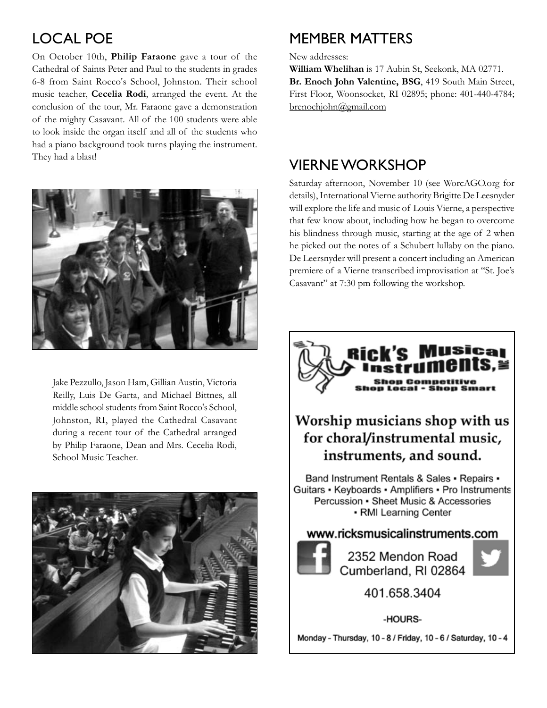# Local POE

On October 10th, **Philip Faraone** gave a tour of the Cathedral of Saints Peter and Paul to the students in grades 6-8 from Saint Rocco's School, Johnston. Their school music teacher, **Cecelia Rodi**, arranged the event. At the conclusion of the tour, Mr. Faraone gave a demonstration of the mighty Casavant. All of the 100 students were able to look inside the organ itself and all of the students who had a piano background took turns playing the instrument. They had a blast!



Jake Pezzullo, Jason Ham, Gillian Austin, Victoria Reilly, Luis De Garta, and Michael Bittnes, all middle school students from Saint Rocco's School, Johnston, RI, played the Cathedral Casavant during a recent tour of the Cathedral arranged by Philip Faraone, Dean and Mrs. Cecelia Rodi, School Music Teacher.



### Member Matters

New addresses:

**William Whelihan** is 17 Aubin St, Seekonk, MA 02771. **Br. Enoch John Valentine, BSG**, 419 South Main Street, First Floor, Woonsocket, RI 02895; phone: 401-440-4784; brenochjohn@gmail.com

### Vierne Workshop

Saturday afternoon, November 10 (see WorcAGO.org for details), International Vierne authority Brigitte De Leesnyder will explore the life and music of Louis Vierne, a perspective that few know about, including how he began to overcome his blindness through music, starting at the age of 2 when he picked out the notes of a Schubert lullaby on the piano. De Leersnyder will present a concert including an American premiere of a Vierne transcribed improvisation at "St. Joe's Casavant" at 7:30 pm following the workshop.